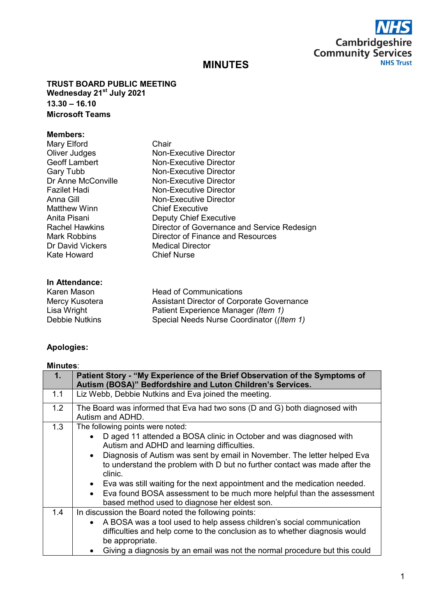

# **MINUTES**

**TRUST BOARD PUBLIC MEETING Wednesday 21st July 2021 13.30 – 16.10 Microsoft Teams**

## **Members:**

| Mary Elford           | Chair                                       |
|-----------------------|---------------------------------------------|
| Oliver Judges         | <b>Non-Executive Director</b>               |
| Geoff Lambert         | Non-Executive Director                      |
| Gary Tubb             | <b>Non-Executive Director</b>               |
| Dr Anne McConville    | <b>Non-Executive Director</b>               |
| Fazilet Hadi          | Non-Executive Director                      |
| Anna Gill             | <b>Non-Executive Director</b>               |
| <b>Matthew Winn</b>   | <b>Chief Executive</b>                      |
| Anita Pisani          | <b>Deputy Chief Executive</b>               |
| <b>Rachel Hawkins</b> | Director of Governance and Service Redesign |
| Mark Robbins          | Director of Finance and Resources           |
| Dr David Vickers      | <b>Medical Director</b>                     |
| Kate Howard           | <b>Chief Nurse</b>                          |
|                       |                                             |

#### **In Attendance:**

| 1117111111111001 |                                                   |
|------------------|---------------------------------------------------|
| Karen Mason      | <b>Head of Communications</b>                     |
| Mercy Kusotera   | <b>Assistant Director of Corporate Governance</b> |
| Lisa Wright      | Patient Experience Manager (Item 1)               |
| Debbie Nutkins   | Special Needs Nurse Coordinator ((Item 1)         |
|                  |                                                   |

## **Apologies:**

## **Minutes**:

| 1.  | Patient Story - "My Experience of the Brief Observation of the Symptoms of<br>Autism (BOSA)" Bedfordshire and Luton Children's Services.                                                                                                                                                                                                                                                                                                                                                                                                          |
|-----|---------------------------------------------------------------------------------------------------------------------------------------------------------------------------------------------------------------------------------------------------------------------------------------------------------------------------------------------------------------------------------------------------------------------------------------------------------------------------------------------------------------------------------------------------|
| 1.1 | Liz Webb, Debbie Nutkins and Eva joined the meeting.                                                                                                                                                                                                                                                                                                                                                                                                                                                                                              |
| 1.2 | The Board was informed that Eva had two sons (D and G) both diagnosed with<br>Autism and ADHD.                                                                                                                                                                                                                                                                                                                                                                                                                                                    |
| 1.3 | The following points were noted:<br>D aged 11 attended a BOSA clinic in October and was diagnosed with<br>Autism and ADHD and learning difficulties.<br>Diagnosis of Autism was sent by email in November. The letter helped Eva<br>$\bullet$<br>to understand the problem with D but no further contact was made after the<br>clinic.<br>• Eva was still waiting for the next appointment and the medication needed.<br>• Eva found BOSA assessment to be much more helpful than the assessment<br>based method used to diagnose her eldest son. |
| 1.4 | In discussion the Board noted the following points:<br>A BOSA was a tool used to help assess children's social communication<br>$\bullet$<br>difficulties and help come to the conclusion as to whether diagnosis would<br>be appropriate.<br>Giving a diagnosis by an email was not the normal procedure but this could                                                                                                                                                                                                                          |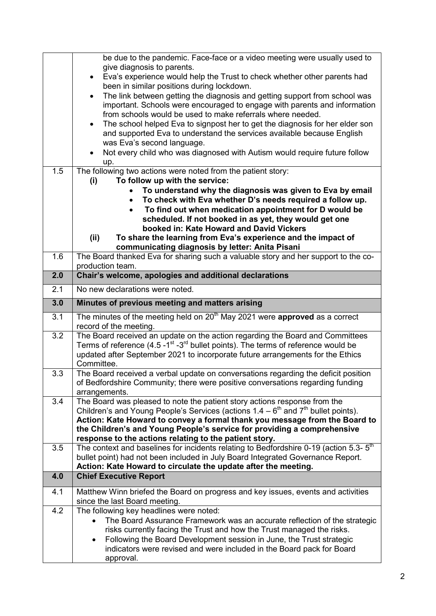| 1.5 | be due to the pandemic. Face-face or a video meeting were usually used to<br>give diagnosis to parents.<br>Eva's experience would help the Trust to check whether other parents had<br>been in similar positions during lockdown.<br>The link between getting the diagnosis and getting support from school was<br>$\bullet$<br>important. Schools were encouraged to engage with parents and information<br>from schools would be used to make referrals where needed.<br>The school helped Eva to signpost her to get the diagnosis for her elder son<br>$\bullet$<br>and supported Eva to understand the services available because English<br>was Eva's second language.<br>Not every child who was diagnosed with Autism would require future follow<br>up.<br>The following two actions were noted from the patient story:<br>To follow up with the service:<br>(i) |
|-----|---------------------------------------------------------------------------------------------------------------------------------------------------------------------------------------------------------------------------------------------------------------------------------------------------------------------------------------------------------------------------------------------------------------------------------------------------------------------------------------------------------------------------------------------------------------------------------------------------------------------------------------------------------------------------------------------------------------------------------------------------------------------------------------------------------------------------------------------------------------------------|
|     | To understand why the diagnosis was given to Eva by email<br>To check with Eva whether D's needs required a follow up.<br>$\bullet$                                                                                                                                                                                                                                                                                                                                                                                                                                                                                                                                                                                                                                                                                                                                       |
|     | To find out when medication appointment for D would be<br>scheduled. If not booked in as yet, they would get one                                                                                                                                                                                                                                                                                                                                                                                                                                                                                                                                                                                                                                                                                                                                                          |
|     | booked in: Kate Howard and David Vickers<br>(ii)<br>To share the learning from Eva's experience and the impact of                                                                                                                                                                                                                                                                                                                                                                                                                                                                                                                                                                                                                                                                                                                                                         |
| 1.6 | communicating diagnosis by letter: Anita Pisani<br>The Board thanked Eva for sharing such a valuable story and her support to the co-                                                                                                                                                                                                                                                                                                                                                                                                                                                                                                                                                                                                                                                                                                                                     |
| 2.0 | production team.<br>Chair's welcome, apologies and additional declarations                                                                                                                                                                                                                                                                                                                                                                                                                                                                                                                                                                                                                                                                                                                                                                                                |
| 2.1 | No new declarations were noted.                                                                                                                                                                                                                                                                                                                                                                                                                                                                                                                                                                                                                                                                                                                                                                                                                                           |
| 3.0 | Minutes of previous meeting and matters arising                                                                                                                                                                                                                                                                                                                                                                                                                                                                                                                                                                                                                                                                                                                                                                                                                           |
| 3.1 | The minutes of the meeting held on 20 <sup>th</sup> May 2021 were <b>approved</b> as a correct                                                                                                                                                                                                                                                                                                                                                                                                                                                                                                                                                                                                                                                                                                                                                                            |
| 3.2 | record of the meeting.<br>The Board received an update on the action regarding the Board and Committees<br>Terms of reference $(4.5 -1st -3rd$ bullet points). The terms of reference would be<br>updated after September 2021 to incorporate future arrangements for the Ethics<br>Committee.                                                                                                                                                                                                                                                                                                                                                                                                                                                                                                                                                                            |
| 3.3 | The Board received a verbal update on conversations regarding the deficit position<br>of Bedfordshire Community; there were positive conversations regarding funding<br>arrangements.                                                                                                                                                                                                                                                                                                                                                                                                                                                                                                                                                                                                                                                                                     |
| 3.4 | The Board was pleased to note the patient story actions response from the<br>Children's and Young People's Services (actions $1.4 - 6th$ and $7th$ bullet points).<br>Action: Kate Howard to convey a formal thank you message from the Board to<br>the Children's and Young People's service for providing a comprehensive<br>response to the actions relating to the patient story.                                                                                                                                                                                                                                                                                                                                                                                                                                                                                     |
| 3.5 | The context and baselines for incidents relating to Bedfordshire 0-19 (action 5.3-5 <sup>th</sup><br>bullet point) had not been included in July Board Integrated Governance Report.<br>Action: Kate Howard to circulate the update after the meeting.                                                                                                                                                                                                                                                                                                                                                                                                                                                                                                                                                                                                                    |
| 4.0 | <b>Chief Executive Report</b>                                                                                                                                                                                                                                                                                                                                                                                                                                                                                                                                                                                                                                                                                                                                                                                                                                             |
| 4.1 | Matthew Winn briefed the Board on progress and key issues, events and activities<br>since the last Board meeting.                                                                                                                                                                                                                                                                                                                                                                                                                                                                                                                                                                                                                                                                                                                                                         |
| 4.2 | The following key headlines were noted:<br>The Board Assurance Framework was an accurate reflection of the strategic<br>$\bullet$<br>risks currently facing the Trust and how the Trust managed the risks.<br>Following the Board Development session in June, the Trust strategic<br>$\bullet$<br>indicators were revised and were included in the Board pack for Board<br>approval.                                                                                                                                                                                                                                                                                                                                                                                                                                                                                     |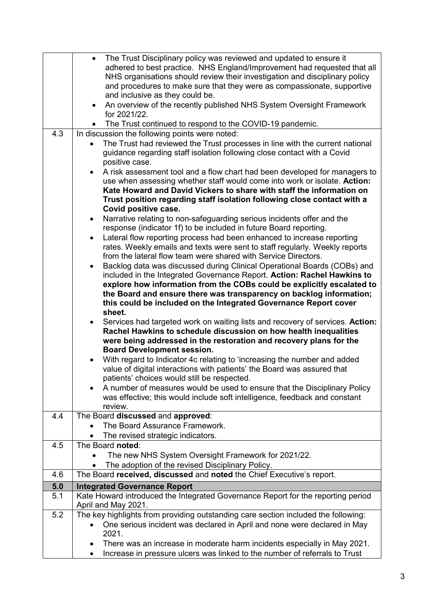|            | The Trust Disciplinary policy was reviewed and updated to ensure it<br>$\bullet$<br>adhered to best practice. NHS England/Improvement had requested that all<br>NHS organisations should review their investigation and disciplinary policy<br>and procedures to make sure that they were as compassionate, supportive<br>and inclusive as they could be.<br>An overview of the recently published NHS System Oversight Framework<br>$\bullet$ |
|------------|------------------------------------------------------------------------------------------------------------------------------------------------------------------------------------------------------------------------------------------------------------------------------------------------------------------------------------------------------------------------------------------------------------------------------------------------|
|            | for 2021/22.                                                                                                                                                                                                                                                                                                                                                                                                                                   |
|            | The Trust continued to respond to the COVID-19 pandemic.                                                                                                                                                                                                                                                                                                                                                                                       |
| 4.3        | In discussion the following points were noted:                                                                                                                                                                                                                                                                                                                                                                                                 |
|            | The Trust had reviewed the Trust processes in line with the current national<br>guidance regarding staff isolation following close contact with a Covid<br>positive case.                                                                                                                                                                                                                                                                      |
|            | A risk assessment tool and a flow chart had been developed for managers to                                                                                                                                                                                                                                                                                                                                                                     |
|            | use when assessing whether staff would come into work or isolate. Action:                                                                                                                                                                                                                                                                                                                                                                      |
|            | Kate Howard and David Vickers to share with staff the information on                                                                                                                                                                                                                                                                                                                                                                           |
|            | Trust position regarding staff isolation following close contact with a                                                                                                                                                                                                                                                                                                                                                                        |
|            | Covid positive case.                                                                                                                                                                                                                                                                                                                                                                                                                           |
|            | Narrative relating to non-safeguarding serious incidents offer and the<br>$\bullet$<br>response (indicator 1f) to be included in future Board reporting.                                                                                                                                                                                                                                                                                       |
|            | Lateral flow reporting process had been enhanced to increase reporting<br>$\bullet$                                                                                                                                                                                                                                                                                                                                                            |
|            | rates. Weekly emails and texts were sent to staff regularly. Weekly reports                                                                                                                                                                                                                                                                                                                                                                    |
|            | from the lateral flow team were shared with Service Directors.                                                                                                                                                                                                                                                                                                                                                                                 |
|            | Backlog data was discussed during Clinical Operational Boards (COBs) and                                                                                                                                                                                                                                                                                                                                                                       |
|            | included in the Integrated Governance Report. Action: Rachel Hawkins to                                                                                                                                                                                                                                                                                                                                                                        |
|            | explore how information from the COBs could be explicitly escalated to                                                                                                                                                                                                                                                                                                                                                                         |
|            | the Board and ensure there was transparency on backlog information;<br>this could be included on the Integrated Governance Report cover                                                                                                                                                                                                                                                                                                        |
|            | sheet.                                                                                                                                                                                                                                                                                                                                                                                                                                         |
|            | Services had targeted work on waiting lists and recovery of services. Action:                                                                                                                                                                                                                                                                                                                                                                  |
|            | Rachel Hawkins to schedule discussion on how health inequalities                                                                                                                                                                                                                                                                                                                                                                               |
|            | were being addressed in the restoration and recovery plans for the                                                                                                                                                                                                                                                                                                                                                                             |
|            | <b>Board Development session.</b>                                                                                                                                                                                                                                                                                                                                                                                                              |
|            | With regard to Indicator 4c relating to 'increasing the number and added<br>$\bullet$                                                                                                                                                                                                                                                                                                                                                          |
|            | value of digital interactions with patients' the Board was assured that<br>patients' choices would still be respected.                                                                                                                                                                                                                                                                                                                         |
|            | A number of measures would be used to ensure that the Disciplinary Policy                                                                                                                                                                                                                                                                                                                                                                      |
|            | was effective; this would include soft intelligence, feedback and constant                                                                                                                                                                                                                                                                                                                                                                     |
|            | review                                                                                                                                                                                                                                                                                                                                                                                                                                         |
| 4.4        | The Board discussed and approved:                                                                                                                                                                                                                                                                                                                                                                                                              |
|            | The Board Assurance Framework.                                                                                                                                                                                                                                                                                                                                                                                                                 |
|            | The revised strategic indicators.                                                                                                                                                                                                                                                                                                                                                                                                              |
| 4.5        | The Board noted:                                                                                                                                                                                                                                                                                                                                                                                                                               |
|            | The new NHS System Oversight Framework for 2021/22.                                                                                                                                                                                                                                                                                                                                                                                            |
| 4.6        | The adoption of the revised Disciplinary Policy.<br>The Board received, discussed and noted the Chief Executive's report.                                                                                                                                                                                                                                                                                                                      |
|            |                                                                                                                                                                                                                                                                                                                                                                                                                                                |
| 5.0<br>5.1 | <b>Integrated Governance Report</b><br>Kate Howard introduced the Integrated Governance Report for the reporting period                                                                                                                                                                                                                                                                                                                        |
|            | April and May 2021.                                                                                                                                                                                                                                                                                                                                                                                                                            |
| 5.2        | The key highlights from providing outstanding care section included the following:                                                                                                                                                                                                                                                                                                                                                             |
|            | One serious incident was declared in April and none were declared in May                                                                                                                                                                                                                                                                                                                                                                       |
|            | 2021.                                                                                                                                                                                                                                                                                                                                                                                                                                          |
|            | There was an increase in moderate harm incidents especially in May 2021.                                                                                                                                                                                                                                                                                                                                                                       |
|            |                                                                                                                                                                                                                                                                                                                                                                                                                                                |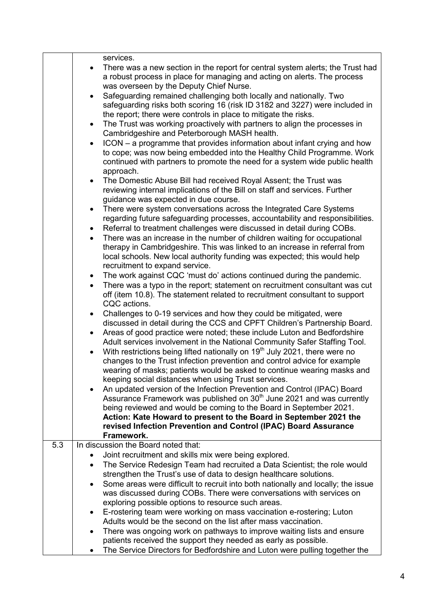|     | services.<br>There was a new section in the report for central system alerts; the Trust had<br>$\bullet$<br>a robust process in place for managing and acting on alerts. The process |
|-----|--------------------------------------------------------------------------------------------------------------------------------------------------------------------------------------|
|     | was overseen by the Deputy Chief Nurse.                                                                                                                                              |
|     | Safeguarding remained challenging both locally and nationally. Two<br>safeguarding risks both scoring 16 (risk ID 3182 and 3227) were included in                                    |
|     | the report; there were controls in place to mitigate the risks.                                                                                                                      |
|     | The Trust was working proactively with partners to align the processes in<br>$\bullet$<br>Cambridgeshire and Peterborough MASH health.                                               |
|     | ICON – a programme that provides information about infant crying and how<br>to cope; was now being embedded into the Healthy Child Programme. Work                                   |
|     | continued with partners to promote the need for a system wide public health<br>approach.                                                                                             |
|     | The Domestic Abuse Bill had received Royal Assent; the Trust was<br>$\bullet$                                                                                                        |
|     | reviewing internal implications of the Bill on staff and services. Further                                                                                                           |
|     | guidance was expected in due course.                                                                                                                                                 |
|     | There were system conversations across the Integrated Care Systems<br>$\bullet$                                                                                                      |
|     | regarding future safeguarding processes, accountability and responsibilities.                                                                                                        |
|     | Referral to treatment challenges were discussed in detail during COBs.<br>$\bullet$<br>There was an increase in the number of children waiting for occupational                      |
|     | therapy in Cambridgeshire. This was linked to an increase in referral from                                                                                                           |
|     | local schools. New local authority funding was expected; this would help                                                                                                             |
|     | recruitment to expand service.                                                                                                                                                       |
|     | The work against CQC 'must do' actions continued during the pandemic.                                                                                                                |
|     | There was a typo in the report; statement on recruitment consultant was cut                                                                                                          |
|     | off (item 10.8). The statement related to recruitment consultant to support<br>CQC actions.                                                                                          |
|     | Challenges to 0-19 services and how they could be mitigated, were<br>$\bullet$                                                                                                       |
|     | discussed in detail during the CCS and CPFT Children's Partnership Board.                                                                                                            |
|     | Areas of good practice were noted; these include Luton and Bedfordshire<br>٠                                                                                                         |
|     | Adult services involvement in the National Community Safer Staffing Tool.                                                                                                            |
|     | With restrictions being lifted nationally on 19 <sup>th</sup> July 2021, there were no<br>٠                                                                                          |
|     | changes to the Trust infection prevention and control advice for example                                                                                                             |
|     | wearing of masks; patients would be asked to continue wearing masks and<br>keeping social distances when using Trust services.                                                       |
|     | An updated version of the Infection Prevention and Control (IPAC) Board                                                                                                              |
|     | Assurance Framework was published on 30 <sup>th</sup> June 2021 and was currently                                                                                                    |
|     | being reviewed and would be coming to the Board in September 2021.                                                                                                                   |
|     | Action: Kate Howard to present to the Board in September 2021 the                                                                                                                    |
|     | revised Infection Prevention and Control (IPAC) Board Assurance                                                                                                                      |
|     | Framework.                                                                                                                                                                           |
| 5.3 | In discussion the Board noted that:                                                                                                                                                  |
|     | Joint recruitment and skills mix were being explored.                                                                                                                                |
|     | The Service Redesign Team had recruited a Data Scientist; the role would<br>strengthen the Trust's use of data to design healthcare solutions.                                       |
|     | Some areas were difficult to recruit into both nationally and locally; the issue                                                                                                     |
|     | was discussed during COBs. There were conversations with services on                                                                                                                 |
|     | exploring possible options to resource such areas.                                                                                                                                   |
|     | E-rostering team were working on mass vaccination e-rostering; Luton                                                                                                                 |
|     | Adults would be the second on the list after mass vaccination.                                                                                                                       |
|     | There was ongoing work on pathways to improve waiting lists and ensure<br>٠                                                                                                          |
|     | patients received the support they needed as early as possible.                                                                                                                      |
|     | The Service Directors for Bedfordshire and Luton were pulling together the                                                                                                           |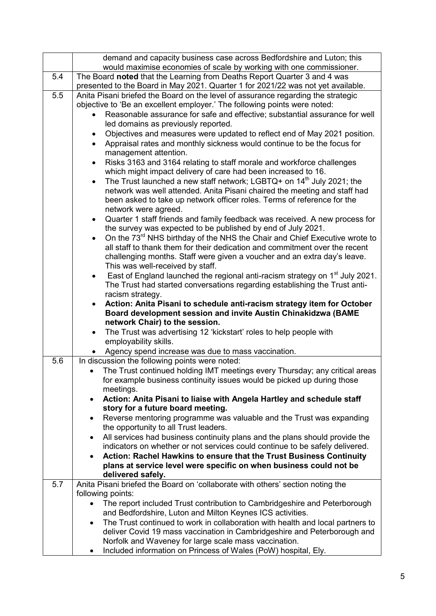|     | demand and capacity business case across Bedfordshire and Luton; this                                                                                        |
|-----|--------------------------------------------------------------------------------------------------------------------------------------------------------------|
|     | would maximise economies of scale by working with one commissioner.                                                                                          |
| 5.4 | The Board noted that the Learning from Deaths Report Quarter 3 and 4 was<br>presented to the Board in May 2021. Quarter 1 for 2021/22 was not yet available. |
| 5.5 | Anita Pisani briefed the Board on the level of assurance regarding the strategic                                                                             |
|     | objective to 'Be an excellent employer.' The following points were noted:                                                                                    |
|     | Reasonable assurance for safe and effective; substantial assurance for well                                                                                  |
|     | led domains as previously reported.                                                                                                                          |
|     | Objectives and measures were updated to reflect end of May 2021 position.                                                                                    |
|     | Appraisal rates and monthly sickness would continue to be the focus for<br>$\bullet$                                                                         |
|     | management attention.                                                                                                                                        |
|     | Risks 3163 and 3164 relating to staff morale and workforce challenges<br>$\bullet$                                                                           |
|     | which might impact delivery of care had been increased to 16.                                                                                                |
|     | The Trust launched a new staff network; LGBTQ+ on $14th$ July 2021; the<br>$\bullet$                                                                         |
|     | network was well attended. Anita Pisani chaired the meeting and staff had                                                                                    |
|     | been asked to take up network officer roles. Terms of reference for the                                                                                      |
|     | network were agreed.                                                                                                                                         |
|     | Quarter 1 staff friends and family feedback was received. A new process for<br>$\bullet$                                                                     |
|     | the survey was expected to be published by end of July 2021.                                                                                                 |
|     | On the 73 <sup>rd</sup> NHS birthday of the NHS the Chair and Chief Executive wrote to                                                                       |
|     | all staff to thank them for their dedication and commitment over the recent                                                                                  |
|     | challenging months. Staff were given a voucher and an extra day's leave.                                                                                     |
|     | This was well-received by staff.                                                                                                                             |
|     | East of England launched the regional anti-racism strategy on 1 <sup>st</sup> July 2021.<br>$\bullet$                                                        |
|     | The Trust had started conversations regarding establishing the Trust anti-                                                                                   |
|     | racism strategy.                                                                                                                                             |
|     | Action: Anita Pisani to schedule anti-racism strategy item for October                                                                                       |
|     | Board development session and invite Austin Chinakidzwa (BAME                                                                                                |
|     | network Chair) to the session.                                                                                                                               |
|     | The Trust was advertising 12 'kickstart' roles to help people with<br>$\bullet$                                                                              |
|     | employability skills.                                                                                                                                        |
|     | Agency spend increase was due to mass vaccination.                                                                                                           |
| 5.6 | In discussion the following points were noted:                                                                                                               |
|     | The Trust continued holding IMT meetings every Thursday; any critical areas                                                                                  |
|     | for example business continuity issues would be picked up during those<br>meetings.                                                                          |
|     | Action: Anita Pisani to liaise with Angela Hartley and schedule staff<br>$\bullet$                                                                           |
|     | story for a future board meeting.                                                                                                                            |
|     | Reverse mentoring programme was valuable and the Trust was expanding<br>$\bullet$                                                                            |
|     | the opportunity to all Trust leaders.                                                                                                                        |
|     | All services had business continuity plans and the plans should provide the<br>$\bullet$                                                                     |
|     | indicators on whether or not services could continue to be safely delivered.                                                                                 |
|     | Action: Rachel Hawkins to ensure that the Trust Business Continuity                                                                                          |
|     | plans at service level were specific on when business could not be                                                                                           |
|     | delivered safely.                                                                                                                                            |
| 5.7 | Anita Pisani briefed the Board on 'collaborate with others' section noting the                                                                               |
|     | following points:                                                                                                                                            |
|     | The report included Trust contribution to Cambridgeshire and Peterborough<br>$\bullet$                                                                       |
|     | and Bedfordshire, Luton and Milton Keynes ICS activities.                                                                                                    |
|     | The Trust continued to work in collaboration with health and local partners to<br>$\bullet$                                                                  |
|     | deliver Covid 19 mass vaccination in Cambridgeshire and Peterborough and                                                                                     |
|     | Norfolk and Waveney for large scale mass vaccination.                                                                                                        |
|     | Included information on Princess of Wales (PoW) hospital, Ely.                                                                                               |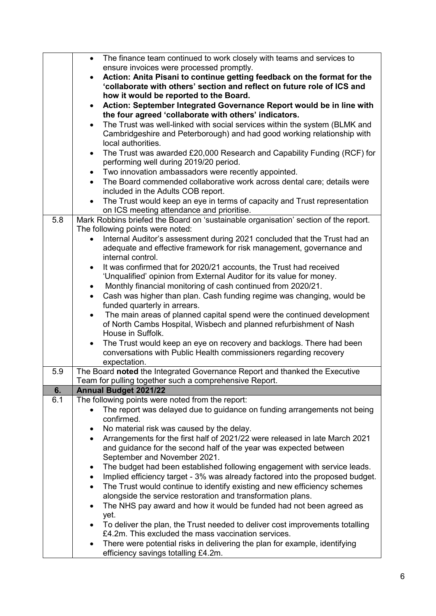|     | The finance team continued to work closely with teams and services to<br>$\bullet$                                                   |
|-----|--------------------------------------------------------------------------------------------------------------------------------------|
|     | ensure invoices were processed promptly.                                                                                             |
|     | Action: Anita Pisani to continue getting feedback on the format for the                                                              |
|     | 'collaborate with others' section and reflect on future role of ICS and                                                              |
|     | how it would be reported to the Board.                                                                                               |
|     | Action: September Integrated Governance Report would be in line with<br>$\bullet$                                                    |
|     | the four agreed 'collaborate with others' indicators.                                                                                |
|     | The Trust was well-linked with social services within the system (BLMK and                                                           |
|     | Cambridgeshire and Peterborough) and had good working relationship with                                                              |
|     | local authorities.                                                                                                                   |
|     | The Trust was awarded £20,000 Research and Capability Funding (RCF) for                                                              |
|     | performing well during 2019/20 period.                                                                                               |
|     | Two innovation ambassadors were recently appointed.<br>$\bullet$                                                                     |
|     | The Board commended collaborative work across dental care; details were<br>$\bullet$                                                 |
|     | included in the Adults COB report.                                                                                                   |
|     | The Trust would keep an eye in terms of capacity and Trust representation                                                            |
|     | on ICS meeting attendance and prioritise.                                                                                            |
| 5.8 | Mark Robbins briefed the Board on 'sustainable organisation' section of the report.                                                  |
|     | The following points were noted:                                                                                                     |
|     | Internal Auditor's assessment during 2021 concluded that the Trust had an                                                            |
|     | adequate and effective framework for risk management, governance and                                                                 |
|     | internal control.                                                                                                                    |
|     | It was confirmed that for 2020/21 accounts, the Trust had received<br>$\bullet$                                                      |
|     | 'Unqualified' opinion from External Auditor for its value for money.                                                                 |
|     | Monthly financial monitoring of cash continued from 2020/21.<br>٠                                                                    |
|     | Cash was higher than plan. Cash funding regime was changing, would be                                                                |
|     | funded quarterly in arrears.                                                                                                         |
|     | The main areas of planned capital spend were the continued development<br>٠                                                          |
|     | of North Cambs Hospital, Wisbech and planned refurbishment of Nash                                                                   |
|     | House in Suffolk.                                                                                                                    |
|     | The Trust would keep an eye on recovery and backlogs. There had been<br>$\bullet$                                                    |
|     | conversations with Public Health commissioners regarding recovery                                                                    |
| 5.9 | expectation.                                                                                                                         |
|     | The Board noted the Integrated Governance Report and thanked the Executive<br>Team for pulling together such a comprehensive Report. |
| 6.  | <b>Annual Budget 2021/22</b>                                                                                                         |
| 6.1 | The following points were noted from the report:                                                                                     |
|     | The report was delayed due to guidance on funding arrangements not being                                                             |
|     | confirmed.                                                                                                                           |
|     | No material risk was caused by the delay.<br>٠                                                                                       |
|     | Arrangements for the first half of 2021/22 were released in late March 2021<br>$\bullet$                                             |
|     | and guidance for the second half of the year was expected between                                                                    |
|     | September and November 2021.                                                                                                         |
|     | The budget had been established following engagement with service leads.<br>٠                                                        |
|     | Implied efficiency target - 3% was already factored into the proposed budget.<br>$\bullet$                                           |
|     | The Trust would continue to identify existing and new efficiency schemes<br>$\bullet$                                                |
|     | alongside the service restoration and transformation plans.                                                                          |
|     | The NHS pay award and how it would be funded had not been agreed as<br>٠                                                             |
|     | yet.                                                                                                                                 |
|     | To deliver the plan, the Trust needed to deliver cost improvements totalling                                                         |
|     | £4.2m. This excluded the mass vaccination services.                                                                                  |
|     | There were potential risks in delivering the plan for example, identifying                                                           |
|     | efficiency savings totalling £4.2m.                                                                                                  |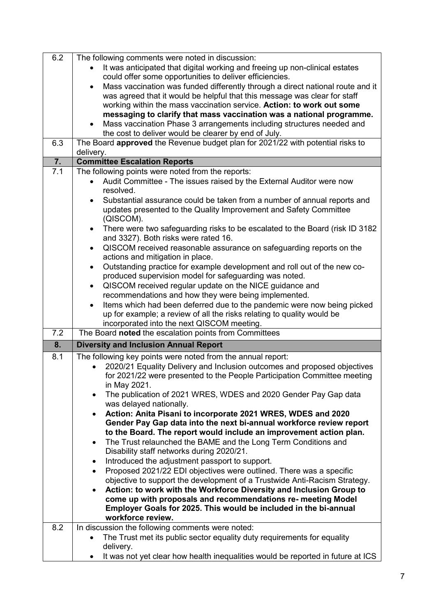| 6.2 | The following comments were noted in discussion:                                             |
|-----|----------------------------------------------------------------------------------------------|
|     | It was anticipated that digital working and freeing up non-clinical estates                  |
|     | could offer some opportunities to deliver efficiencies.                                      |
|     | Mass vaccination was funded differently through a direct national route and it               |
|     |                                                                                              |
|     | was agreed that it would be helpful that this message was clear for staff                    |
|     | working within the mass vaccination service. Action: to work out some                        |
|     | messaging to clarify that mass vaccination was a national programme.                         |
|     | Mass vaccination Phase 3 arrangements including structures needed and<br>$\bullet$           |
|     | the cost to deliver would be clearer by end of July.                                         |
| 6.3 | The Board approved the Revenue budget plan for 2021/22 with potential risks to               |
|     | delivery.                                                                                    |
| 7.  | <b>Committee Escalation Reports</b>                                                          |
| 7.1 | The following points were noted from the reports:                                            |
|     | Audit Committee - The issues raised by the External Auditor were now                         |
|     | resolved.                                                                                    |
|     | Substantial assurance could be taken from a number of annual reports and                     |
|     | updates presented to the Quality Improvement and Safety Committee                            |
|     | (QISCOM).                                                                                    |
|     | There were two safeguarding risks to be escalated to the Board (risk ID 3182)<br>$\bullet$   |
|     | and 3327). Both risks were rated 16.                                                         |
|     | QISCOM received reasonable assurance on safeguarding reports on the<br>$\bullet$             |
|     | actions and mitigation in place.                                                             |
|     | Outstanding practice for example development and roll out of the new co-                     |
|     | produced supervision model for safeguarding was noted.                                       |
|     | QISCOM received regular update on the NICE guidance and<br>$\bullet$                         |
|     | recommendations and how they were being implemented.                                         |
|     | Items which had been deferred due to the pandemic were now being picked<br>$\bullet$         |
|     | up for example; a review of all the risks relating to quality would be                       |
|     | incorporated into the next QISCOM meeting.                                                   |
| 7.2 | The Board noted the escalation points from Committees                                        |
| 8.  |                                                                                              |
|     | <b>Diversity and Inclusion Annual Report</b>                                                 |
| 8.1 | The following key points were noted from the annual report:                                  |
|     | 2020/21 Equality Delivery and Inclusion outcomes and proposed objectives                     |
|     | for 2021/22 were presented to the People Participation Committee meeting                     |
|     | in May 2021.                                                                                 |
|     | The publication of 2021 WRES, WDES and 2020 Gender Pay Gap data<br>$\bullet$                 |
|     | was delayed nationally.                                                                      |
|     | Action: Anita Pisani to incorporate 2021 WRES, WDES and 2020<br>$\bullet$                    |
|     | Gender Pay Gap data into the next bi-annual workforce review report                          |
|     | to the Board. The report would include an improvement action plan.                           |
|     | The Trust relaunched the BAME and the Long Term Conditions and<br>$\bullet$                  |
|     |                                                                                              |
|     | Disability staff networks during 2020/21.                                                    |
|     | Introduced the adjustment passport to support.<br>$\bullet$                                  |
|     | Proposed 2021/22 EDI objectives were outlined. There was a specific                          |
|     |                                                                                              |
|     | objective to support the development of a Trustwide Anti-Racism Strategy.                    |
|     | Action: to work with the Workforce Diversity and Inclusion Group to                          |
|     | come up with proposals and recommendations re- meeting Model                                 |
|     | Employer Goals for 2025. This would be included in the bi-annual                             |
|     | workforce review.                                                                            |
| 8.2 | In discussion the following comments were noted:                                             |
|     | The Trust met its public sector equality duty requirements for equality                      |
|     | delivery.<br>It was not yet clear how health inequalities would be reported in future at ICS |